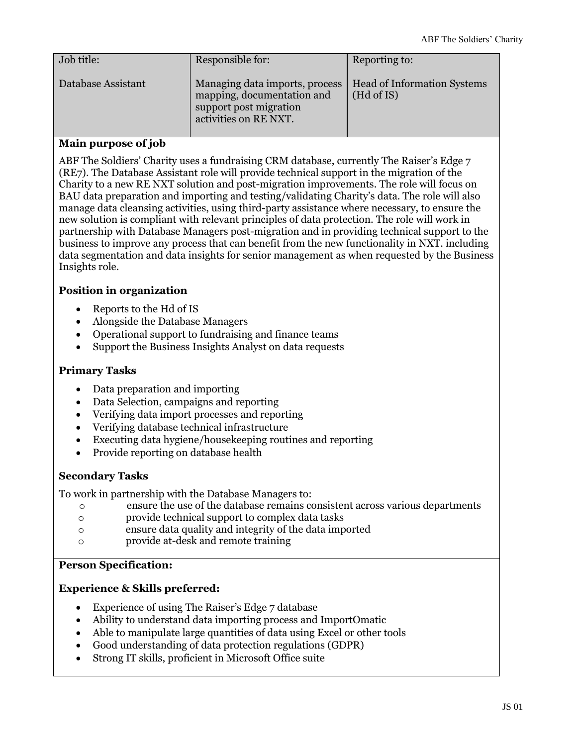| Job title:         | Responsible for:                                                                                                | Reporting to:                                    |
|--------------------|-----------------------------------------------------------------------------------------------------------------|--------------------------------------------------|
| Database Assistant | Managing data imports, process<br>mapping, documentation and<br>support post migration<br>activities on RE NXT. | <b>Head of Information Systems</b><br>(Hd of IS) |

# **Main purpose of job**

ABF The Soldiers' Charity uses a fundraising CRM database, currently The Raiser's Edge 7 (RE7). The Database Assistant role will provide technical support in the migration of the Charity to a new RE NXT solution and post-migration improvements. The role will focus on BAU data preparation and importing and testing/validating Charity's data. The role will also manage data cleansing activities, using third-party assistance where necessary, to ensure the new solution is compliant with relevant principles of data protection. The role will work in partnership with Database Managers post-migration and in providing technical support to the business to improve any process that can benefit from the new functionality in NXT. including data segmentation and data insights for senior management as when requested by the Business Insights role.

# **Position in organization**

- Reports to the Hd of IS
- Alongside the Database Managers
- Operational support to fundraising and finance teams
- Support the Business Insights Analyst on data requests

# **Primary Tasks**

- Data preparation and importing
- Data Selection, campaigns and reporting
- Verifying data import processes and reporting
- Verifying database technical infrastructure
- Executing data hygiene/housekeeping routines and reporting
- Provide reporting on database health

# **Secondary Tasks**

To work in partnership with the Database Managers to:

- o ensure the use of the database remains consistent across various departments
- o provide technical support to complex data tasks
- o ensure data quality and integrity of the data imported
- o provide at-desk and remote training

### **Person Specification:**

### **Experience & Skills preferred:**

- Experience of using The Raiser's Edge 7 database
- Ability to understand data importing process and ImportOmatic
- Able to manipulate large quantities of data using Excel or other tools
- Good understanding of data protection regulations (GDPR)
- Strong IT skills, proficient in Microsoft Office suite